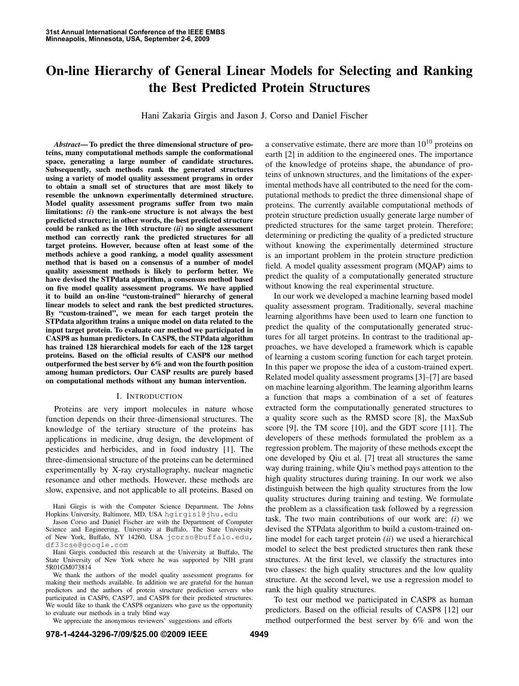# **On-line Hierarchy of General Linear Models for Selecting and Ranking the Best Predicted Protein Structures**

Hani Zakaria Girgis and Jason J. Corso and Daniel Fischer

*Abstract***— To predict the three dimensional structure of proteins, many computational methods sample the conformational space, generating a large number of candidate structures. Subsequently, such methods rank the generated structures using a variety of model quality assessment programs in order to obtain a small set of structures that are most likely to resemble the unknown experimentally determined structure. Model quality assessment programs suffer from two main limitations:** *(i***) the rank-one structure is not always the best predicted structure; in other words, the best predicted structure could be ranked as the 10th structure** *(ii***) no single assessment method can correctly rank the predicted structures for all target proteins. However, because often at least some of the methods achieve a good ranking, a model quality assessment method that is based on a consensus of a number of model quality assessment methods is likely to perform better. We have devised the STPdata algorithm, a consensus method based on five model quality assessment programs. We have applied it to build an on-line "custom-trained" hierarchy of general linear models to select and rank the best predicted structures. By "custom-trained", we mean for each target protein the STPdata algorithm trains a unique model on data related to the input target protein. To evaluate our method we participated in CASP8 as human predictors. In CASP8, the STPdata algorithm has trained 128 hierarchical models for each of the 128 target proteins. Based on the official results of CASP8 our method outperformed the best server by 6% and won the fourth position among human predictors. Our CASP results are purely based on computational methods without any human intervention.**

# I. INTRODUCTION

Proteins are very import molecules in nature whose function depends on their three-dimensional structures. The knowledge of the tertiary structure of the proteins has applications in medicine, drug design, the development of pesticides and herbicides, and in food industry [1]. The three-dimensional structure of the proteins can be determined experimentally by X-ray crystallography, nuclear magnetic resonance and other methods. However, these methods are slow, expensive, and not applicable to all proteins. Based on

Hani Girgis conducted this research at the University at Buffalo, The State University of New York where he was supported by NIH grant 5R01GM073814

We thank the authors of the model quality assessment programs for making their methods available. In addition we are grateful for the human predictors and the authors of protein structure prediction servers who participated in CASP6, CASP7, and CASP8 for their predicted structures. We would like to thank the CASP8 organizers who gave us the opportunity to evaluate our methods in a truly blind way

We appreciate the anonymous reviewers' suggestions and efforts

a conservative estimate, there are more than  $10^{10}$  proteins on earth [2] in addition to the engineered ones. The importance of the knowledge of proteins shape, the abundance of proteins of unknown structures, and the limitations of the experimental methods have all contributed to the need for the computational methods to predict the three dimensional shape of proteins. The currently available computational methods of protein structure prediction usually generate large number of predicted structures for the same target protein. Therefore; determining or predicting the quality of a predicted structure without knowing the experimentally determined structure is an important problem in the protein structure prediction field. A model quality assessment program (MQAP) aims to predict the quality of a computationally generated structure without knowing the real experimental structure.

In our work we developed a machine learning based model quality assessment program. Traditionally, several machine learning algorithms have been used to learn one function to predict the quality of the computationally generated structures for all target proteins. In contrast to the traditional approaches, we have developed a framework which is capable of learning a custom scoring function for each target protein. In this paper we propose the idea of a custom-trained expert. Related model quality assessment programs [3]–[7] are based on machine learning algorithm. The learning algorithm learns a function that maps a combination of a set of features extracted form the computationally generated structures to a quality score such as the RMSD score [8], the MaxSub score [9], the TM score [10], and the GDT score [11]. The developers of these methods formulated the problem as a regression problem. The majority of these methods except the one developed by Qiu et al. [7] treat all structures the same way during training, while Qiu's method pays attention to the high quality structures during training. In our work we also distinguish between the high quality structures from the low quality structures during training and testing. We formulate the problem as a classification task followed by a regression task. The two main contributions of our work are: *(i*) we devised the STPdata algorithm to build a custom-trained online model for each target protein *(ii*) we used a hierarchical model to select the best predicted structures then rank these structures. At the first level, we classify the structures into two classes: the high quality structures and the low quality structure. At the second level, we use a regression model to rank the high quality structures.

To test our method we participated in CASP8 as human predictors. Based on the official results of CASP8 [12] our method outperformed the best server by 6% and won the

Hani Girgis is with the Computer Science Department, The Johns Hopkins University, Baltimore, MD, USA hgirgis1@jhu.edu

Jason Corso and Daniel Fischer are with the Department of Computer Science and Engineering, University at Buffalo, The State University of New York, Buffalo, NY 14260, USA jcorso@buffalo.edu, df33cse@google.com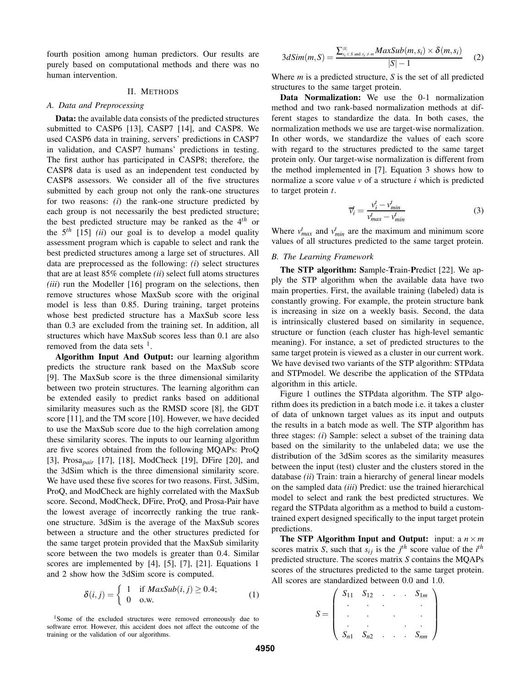fourth position among human predictors. Our results are purely based on computational methods and there was no human intervention.

## II. METHODS

# *A. Data and Preprocessing*

**Data:** the available data consists of the predicted structures submitted to CASP6 [13], CASP7 [14], and CASP8. We used CASP6 data in training, servers' predictions in CASP7 in validation, and CASP7 humans' predictions in testing. The first author has participated in CASP8; therefore, the CASP8 data is used as an independent test conducted by CASP8 assessors. We consider all of the five structures submitted by each group not only the rank-one structures for two reasons: *(i*) the rank-one structure predicted by each group is not necessarily the best predicted structure; the best predicted structure may be ranked as the 4 *th* or the  $5<sup>th</sup>$  [15] *(ii)* our goal is to develop a model quality assessment program which is capable to select and rank the best predicted structures among a large set of structures. All data are preprocessed as the following: *(i*) select structures that are at least 85% complete *(ii*) select full atoms structures *(iii)* run the Modeller [16] program on the selections, then remove structures whose MaxSub score with the original model is less than 0.85. During training, target proteins whose best predicted structure has a MaxSub score less than 0.3 are excluded from the training set. In addition, all structures which have MaxSub scores less than 0.1 are also removed from the data sets  $<sup>1</sup>$ .</sup>

**Algorithm Input And Output:** our learning algorithm predicts the structure rank based on the MaxSub score [9]. The MaxSub score is the three dimensional similarity between two protein structures. The learning algorithm can be extended easily to predict ranks based on additional similarity measures such as the RMSD score [8], the GDT score [11], and the TM score [10]. However, we have decided to use the MaxSub score due to the high correlation among these similarity scores. The inputs to our learning algorithm are five scores obtained from the following MQAPs: ProQ [3], Prosa*pair* [17], [18], ModCheck [19], DFire [20], and the 3dSim which is the three dimensional similarity score. We have used these five scores for two reasons. First, 3dSim, ProQ, and ModCheck are highly correlated with the MaxSub score. Second, ModCheck, DFire, ProQ, and Prosa-Pair have the lowest average of incorrectly ranking the true rankone structure. 3dSim is the average of the MaxSub scores between a structure and the other structures predicted for the same target protein provided that the MaxSub similarity score between the two models is greater than 0.4. Similar scores are implemented by [4], [5], [7], [21]. Equations 1 and 2 show how the 3dSim score is computed.

$$
\delta(i,j) = \begin{cases}\n1 & \text{if } MaxSub(i,j) \ge 0.4; \\
0 & \text{o.w.} \n\end{cases}
$$
\n(1)

$$
3dSim(m, S) = \frac{\sum_{s_i \in S \text{ and } s_i \neq m}^{|S|} MaxSub(m, s_i) \times \delta(m, s_i)}{|S| - 1}
$$
 (2)

Where *m* is a predicted structure, *S* is the set of all predicted structures to the same target protein.

**Data Normalization:** We use the 0-1 normalization method and two rank-based normalization methods at different stages to standardize the data. In both cases, the normalization methods we use are target-wise normalization. In other words, we standardize the values of each score with regard to the structures predicted to the same target protein only. Our target-wise normalization is different from the method implemented in [7]. Equation 3 shows how to normalize a score value *v* of a structure *i* which is predicted to target protein *t*.

$$
\overline{v}_i^t = \frac{v_i^t - v_{min}^t}{v_{max}^t - v_{min}^t} \tag{3}
$$

Where  $v_{max}^t$  and  $v_{min}^t$  are the maximum and minimum score values of all structures predicted to the same target protein.

#### *B. The Learning Framework*

**The STP algorithm: S**ample-**T**rain-**P**redict [22]. We apply the STP algorithm when the available data have two main properties. First, the available training (labeled) data is constantly growing. For example, the protein structure bank is increasing in size on a weekly basis. Second, the data is intrinsically clustered based on similarity in sequence, structure or function (each cluster has high-level semantic meaning). For instance, a set of predicted structures to the same target protein is viewed as a cluster in our current work. We have devised two variants of the STP algorithm: STPdata and STPmodel. We describe the application of the STPdata algorithm in this article.

Figure 1 outlines the STPdata algorithm. The STP algorithm does its prediction in a batch mode i.e. it takes a cluster of data of unknown target values as its input and outputs the results in a batch mode as well. The STP algorithm has three stages: *(i*) Sample: select a subset of the training data based on the similarity to the unlabeled data; we use the distribution of the 3dSim scores as the similarity measures between the input (test) cluster and the clusters stored in the database *(ii*) Train: train a hierarchy of general linear models on the sampled data *(iii*) Predict: use the trained hierarchical model to select and rank the best predicted structures. We regard the STPdata algorithm as a method to build a customtrained expert designed specifically to the input target protein predictions.

**The STP Algorithm Input and Output:** input: a  $n \times m$ scores matrix *S*, such that  $s_{ij}$  is the  $j^{th}$  score value of the  $i^{th}$ predicted structure. The scores matrix *S* contains the MQAPs scores of the structures predicted to the same target protein. All scores are standardized between 0.0 and 1.0.

$$
S = \left(\begin{array}{cccc} S_{11} & S_{12} & \dots & S_{1m} \\ \vdots & \vdots & \ddots & \vdots \\ \vdots & \vdots & \ddots & \vdots \\ S_{n1} & S_{n2} & \dots & S_{nm} \end{array}\right)
$$

<sup>&</sup>lt;sup>1</sup>Some of the excluded structures were removed erroneously due to software error. However, this accident does not affect the outcome of the training or the validation of our algorithms.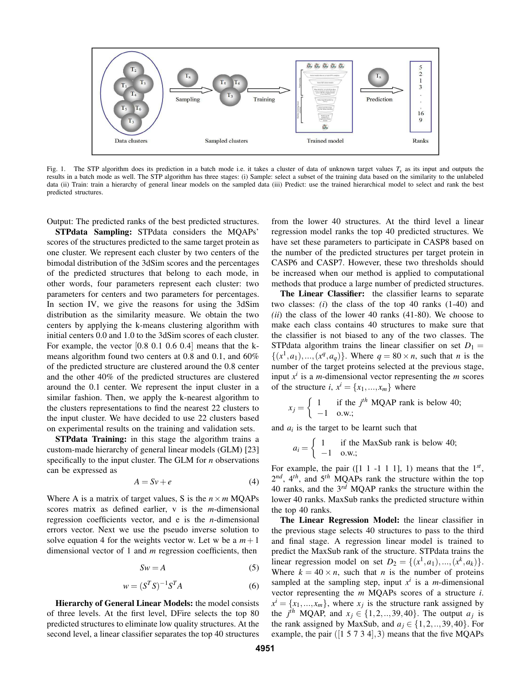

Fig. 1. The STP algorithm does its prediction in a batch mode i.e. it takes a cluster of data of unknown target values  $T_x$  as its input and outputs the results in a batch mode as well. The STP algorithm has three stages: (i) Sample: select a subset of the training data based on the similarity to the unlabeled data (ii) Train: train a hierarchy of general linear models on the sampled data (iii) Predict: use the trained hierarchical model to select and rank the best predicted structures.

Output: The predicted ranks of the best predicted structures.

**STPdata Sampling:** STPdata considers the MQAPs' scores of the structures predicted to the same target protein as one cluster. We represent each cluster by two centers of the bimodal distribution of the 3dSim scores and the percentages of the predicted structures that belong to each mode, in other words, four parameters represent each cluster: two parameters for centers and two parameters for percentages. In section IV, we give the reasons for using the 3dSim distribution as the similarity measure. We obtain the two centers by applying the k-means clustering algorithm with initial centers 0.0 and 1.0 to the 3dSim scores of each cluster. For example, the vector [0.8 0.1 0.6 0.4] means that the kmeans algorithm found two centers at 0.8 and 0.1, and 60% of the predicted structure are clustered around the 0.8 center and the other 40% of the predicted structures are clustered around the 0.1 center. We represent the input cluster in a similar fashion. Then, we apply the k-nearest algorithm to the clusters representations to find the nearest 22 clusters to the input cluster. We have decided to use 22 clusters based on experimental results on the training and validation sets.

**STPdata Training:** in this stage the algorithm trains a custom-made hierarchy of general linear models (GLM) [23] specifically to the input cluster. The GLM for *n* observations can be expressed as

$$
A = Sv + e \tag{4}
$$

Where A is a matrix of target values, S is the  $n \times m$  MQAPs scores matrix as defined earlier, v is the *m*-dimensional regression coefficients vector, and e is the *n*-dimensional errors vector. Next we use the pseudo inverse solution to solve equation 4 for the weights vector w. Let w be a  $m+1$ dimensional vector of 1 and *m* regression coefficients, then

$$
Sw = A \tag{5}
$$

$$
w = (S^T S)^{-1} S^T A \tag{6}
$$

**Hierarchy of General Linear Models:** the model consists of three levels. At the first level, DFire selects the top 80 predicted structures to eliminate low quality structures. At the second level, a linear classifier separates the top 40 structures from the lower 40 structures. At the third level a linear regression model ranks the top 40 predicted structures. We have set these parameters to participate in CASP8 based on the number of the predicted structures per target protein in CASP6 and CASP7. However, these two thresholds should be increased when our method is applied to computational methods that produce a large number of predicted structures.

**The Linear Classifier:** the classifier learns to separate two classes: *(i*) the class of the top 40 ranks (1-40) and *(ii*) the class of the lower 40 ranks (41-80). We choose to make each class contains 40 structures to make sure that the classifier is not biased to any of the two classes. The STPdata algorithm trains the linear classifier on set  $D_1 =$  $\{(x^1, a_1), ..., (x^q, a_q)\}$ . Where  $q = 80 \times n$ , such that *n* is the number of the target proteins selected at the previous stage, input  $x^i$  is a *m*-dimensional vector representing the *m* scores of the structure *i*,  $x^i = \{x_1, ..., x_m\}$  where

$$
x_j = \begin{cases} 1 & \text{if the } j^{th} \text{ MQAP rank is below 40;} \\ -1 & \text{o.w.;} \end{cases}
$$

and  $a_i$  is the target to be learnt such that

$$
a_i = \begin{cases} 1 & \text{if the MaxSub rank is below 40;} \\ -1 & \text{o.w.;} \end{cases}
$$

For example, the pair  $([1 \ 1 \ -1 \ 1 \ 1], 1)$  means that the  $1^{st}$ ,  $2^{nd}$ ,  $4^{th}$ , and  $5^{th}$  MQAPs rank the structure within the top 40 ranks, and the 3 *rd* MQAP ranks the structure within the lower 40 ranks. MaxSub ranks the predicted structure within the top 40 ranks.

**The Linear Regression Model:** the linear classifier in the previous stage selects 40 structures to pass to the third and final stage. A regression linear model is trained to predict the MaxSub rank of the structure. STPdata trains the linear regression model on set  $D_2 = \{(x^1, a_1), ..., (x^k, a_k)\}.$ Where  $k = 40 \times n$ , such that *n* is the number of proteins sampled at the sampling step, input  $x^i$  is a *m*-dimensional vector representing the *m* MQAPs scores of a structure *i*.  $x^i = \{x_1, ..., x_m\}$ , where  $x_j$  is the structure rank assigned by the *j<sup>th</sup>* MQAP, and  $x_j \in \{1, 2, ..., 39, 40\}$ . The output  $a_j$  is the rank assigned by MaxSub, and  $a_j \in \{1, 2, \ldots, 39, 40\}$ . For example, the pair  $([1 5 7 3 4], 3)$  means that the five MQAPs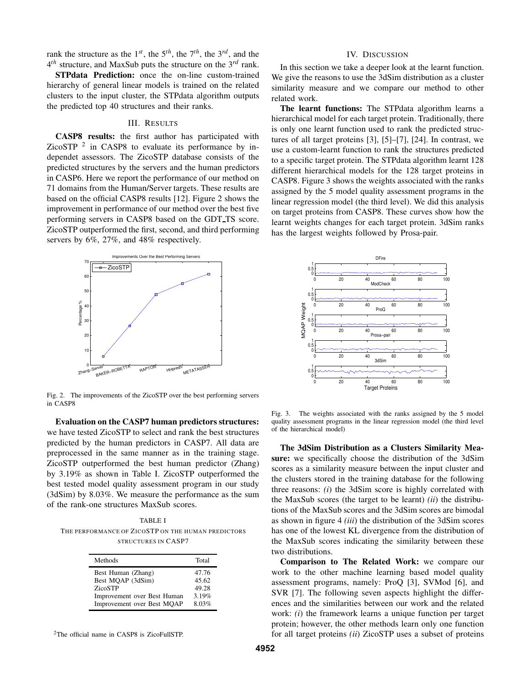rank the structure as the  $1^{st}$ , the  $5^{th}$ , the  $7^{th}$ , the  $3^{rd}$ , and the 4 *th* structure, and MaxSub puts the structure on the 3 *rd* rank.

**STPdata Prediction:** once the on-line custom-trained hierarchy of general linear models is trained on the related clusters to the input cluster, the STPdata algorithm outputs the predicted top 40 structures and their ranks.

# III. RESULTS

**CASP8 results:** the first author has participated with ZicoSTP  $^2$  in CASP8 to evaluate its performance by independet assessors. The ZicoSTP database consists of the predicted structures by the servers and the human predictors in CASP6. Here we report the performance of our method on 71 domains from the Human/Server targets. These results are based on the official CASP8 results [12]. Figure 2 shows the improvement in performance of our method over the best five performing servers in CASP8 based on the GDT TS score. ZicoSTP outperformed the first, second, and third performing servers by 6%, 27%, and 48% respectively.



Fig. 2. The improvements of the ZicoSTP over the best performing servers in CASP8

**Evaluation on the CASP7 human predictors structures:** we have tested ZicoSTP to select and rank the best structures predicted by the human predictors in CASP7. All data are preprocessed in the same manner as in the training stage. ZicoSTP outperformed the best human predictor (Zhang) by 3.19% as shown in Table I. ZicoSTP outperformed the best tested model quality assessment program in our study (3dSim) by 8.03%. We measure the performance as the sum of the rank-one structures MaxSub scores.

TABLE I THE PERFORMANCE OF ZICOSTP ON THE HUMAN PREDICTORS STRUCTURES IN CASP7

| Methods                     | Total |
|-----------------------------|-------|
| Best Human (Zhang)          | 47.76 |
| Best MOAP (3dSim)           | 45.62 |
| ZicoSTP                     | 49.28 |
| Improvement over Best Human | 3.19% |
| Improvement over Best MQAP  | 8.03% |

<sup>2</sup>The official name in CASP8 is ZicoFullSTP.

## IV. DISCUSSION

In this section we take a deeper look at the learnt function. We give the reasons to use the 3dSim distribution as a cluster similarity measure and we compare our method to other related work.

**The learnt functions:** The STPdata algorithm learns a hierarchical model for each target protein. Traditionally, there is only one learnt function used to rank the predicted structures of all target proteins [3], [5]–[7], [24]. In contrast, we use a custom-learnt function to rank the structures predicted to a specific target protein. The STPdata algorithm learnt 128 different hierarchical models for the 128 target proteins in CASP8. Figure 3 shows the weights associated with the ranks assigned by the 5 model quality assessment programs in the linear regression model (the third level). We did this analysis on target proteins from CASP8. These curves show how the learnt weights changes for each target protein. 3dSim ranks has the largest weights followed by Prosa-pair.



Fig. 3. The weights associated with the ranks assigned by the 5 model quality assessment programs in the linear regression model (the third level of the hierarchical model)

**The 3dSim Distribution as a Clusters Similarity Measure:** we specifically choose the distribution of the 3dSim scores as a similarity measure between the input cluster and the clusters stored in the training database for the following three reasons: *(i*) the 3dSim score is highly correlated with the MaxSub scores (the target to be learnt) *(ii*) the distributions of the MaxSub scores and the 3dSim scores are bimodal as shown in figure 4 *(iii*) the distribution of the 3dSim scores has one of the lowest KL divergence from the distribution of the MaxSub scores indicating the similarity between these two distributions.

**Comparison to The Related Work:** we compare our work to the other machine learning based model quality assessment programs, namely: ProQ [3], SVMod [6], and SVR [7]. The following seven aspects highlight the differences and the similarities between our work and the related work: *(i*) the framework learns a unique function per target protein; however, the other methods learn only one function for all target proteins *(ii*) ZicoSTP uses a subset of proteins